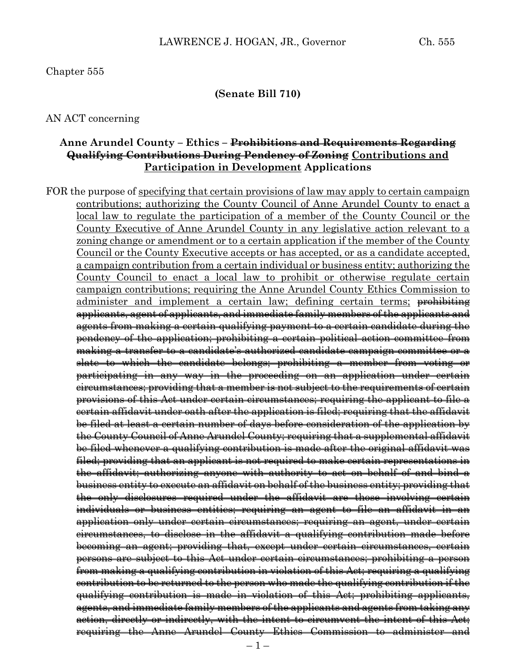### Chapter 555

#### **(Senate Bill 710)**

#### AN ACT concerning

## **Anne Arundel County – Ethics – Prohibitions and Requirements Regarding Qualifying Contributions During Pendency of Zoning Contributions and Participation in Development Applications**

FOR the purpose of specifying that certain provisions of law may apply to certain campaign contributions; authorizing the County Council of Anne Arundel County to enact a local law to regulate the participation of a member of the County Council or the County Executive of Anne Arundel County in any legislative action relevant to a zoning change or amendment or to a certain application if the member of the County Council or the County Executive accepts or has accepted, or as a candidate accepted, a campaign contribution from a certain individual or business entity; authorizing the County Council to enact a local law to prohibit or otherwise regulate certain campaign contributions; requiring the Anne Arundel County Ethics Commission to administer and implement a certain law; defining certain terms; <del>prohibiting</del> applicants, agent of applicants, and immediate family members of the applicants and agents from making a certain qualifying payment to a certain candidate during the pendency of the application; prohibiting a certain political action committee from making a transfer to a candidate's authorized candidate campaign committee or a slate to which the candidate belongs; prohibiting a member from voting or participating in any way in the proceeding on an application under certain circumstances; providing that a member is not subject to the requirements of certain provisions of this Act under certain circumstances; requiring the applicant to file a certain affidavit under oath after the application is filed; requiring that the affidavit be filed at least a certain number of days before consideration of the application by the County Council of Anne Arundel County; requiring that a supplemental affidavit be filed whenever a qualifying contribution is made after the original affidavit was filed; providing that an applicant is not required to make certain representations in the affidavit; authorizing anyone with authority to act on behalf of and bind a business entity to execute an affidavit on behalf of the business entity; providing that the only disclosures required under the affidavit are those involving certain individuals or business entities; requiring an agent to file an affidavit in an application only under certain circumstances; requiring an agent, under certain circumstances, to disclose in the affidavit a qualifying contribution made before becoming an agent; providing that, except under certain circumstances, certain persons are subject to this Act under certain circumstances; prohibiting a person from making a qualifying contribution in violation of this Act; requiring a qualifying contribution to be returned to the person who made the qualifying contribution if the qualifying contribution is made in violation of this Act; prohibiting applicants, agents, and immediate family members of the applicants and agents from taking any action, directly or indirectly, with the intent to circumvent the intent of this Act; requiring the Anne Arundel County Ethics Commission to administer and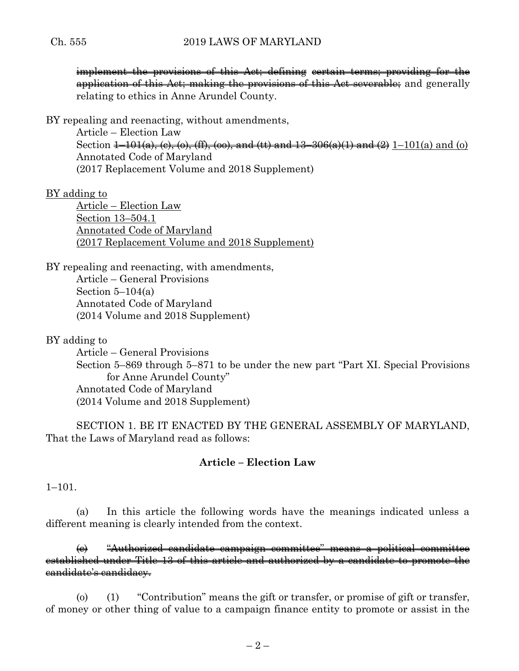implement the provisions of this Act; defining certain terms; providing for the application of this Act; making the provisions of this Act severable; and generally relating to ethics in Anne Arundel County.

BY repealing and reenacting, without amendments,

Article – Election Law Section  $\frac{1-101(a)}{(c)}$ , (c), (ff), (oo), and (tt) and  $\frac{13-306(a)(1)}{2}$  and  $\frac{2}{2}$  1–101(a) and (o) Annotated Code of Maryland (2017 Replacement Volume and 2018 Supplement)

# BY adding to

Article – Election Law Section 13–504.1 Annotated Code of Maryland (2017 Replacement Volume and 2018 Supplement)

BY repealing and reenacting, with amendments, Article – General Provisions Section  $5-104(a)$ Annotated Code of Maryland (2014 Volume and 2018 Supplement)

BY adding to

Article – General Provisions Section 5–869 through 5–871 to be under the new part "Part XI. Special Provisions for Anne Arundel County" Annotated Code of Maryland (2014 Volume and 2018 Supplement)

SECTION 1. BE IT ENACTED BY THE GENERAL ASSEMBLY OF MARYLAND, That the Laws of Maryland read as follows:

# **Article – Election Law**

 $1-101$ .

(a) In this article the following words have the meanings indicated unless a different meaning is clearly intended from the context.

(c) "Authorized candidate campaign committee" means a political committee established under Title 13 of this article and authorized by a candidate to promote the candidate's candidacy.

(o) (1) "Contribution" means the gift or transfer, or promise of gift or transfer, of money or other thing of value to a campaign finance entity to promote or assist in the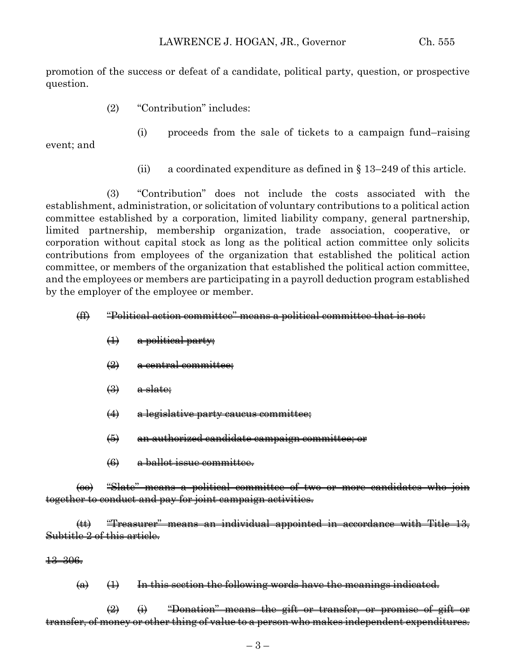promotion of the success or defeat of a candidate, political party, question, or prospective question.

- (2) "Contribution" includes:
	- (i) proceeds from the sale of tickets to a campaign fund–raising

event; and

(ii) a coordinated expenditure as defined in  $\S$  13–249 of this article.

(3) "Contribution" does not include the costs associated with the establishment, administration, or solicitation of voluntary contributions to a political action committee established by a corporation, limited liability company, general partnership, limited partnership, membership organization, trade association, cooperative, or corporation without capital stock as long as the political action committee only solicits contributions from employees of the organization that established the political action committee, or members of the organization that established the political action committee, and the employees or members are participating in a payroll deduction program established by the employer of the employee or member.

## (ff) "Political action committee" means a political committee that is not:

- (1) a political party;
- $\left( 2 \right)$  a central committee;
- $\left(\frac{3}{2}\right)$  a slate;
- (4) a legislative party caucus committee;
- (5) an authorized candidate campaign committee; or
- (6) a ballot issue committee.

(oo) "Slate" means a political committee of two or more candidates who join together to conduct and pay for joint campaign activities.

(tt) "Treasurer" means an individual appointed in accordance with Title 13, Subtitle 2 of this article.

13–306.

 $(a)$   $(1)$  In this section the following words have the meanings indicated.

 $\left( 2\right)$   $\left( 4\right)$   $\left( 4\right)$   $\left( 4\right)$   $\left( 4\right)$   $\left( 4\right)$   $\left( 4\right)$   $\left( 4\right)$   $\left( 4\right)$   $\left( 4\right)$   $\left( 4\right)$   $\left( 4\right)$   $\left( 4\right)$   $\left( 4\right)$   $\left( 4\right)$   $\left( 4\right)$   $\left( 4\right)$   $\left( 4\right)$   $\left( 4\right)$   $\left( 4\right)$  transfer, of money or other thing of value to a person who makes independent expenditures.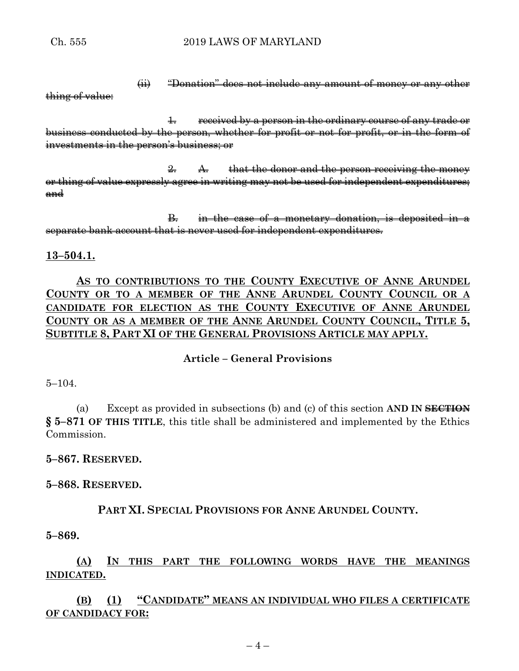(ii) "Donation" does not include any amount of money or any other

thing of value:

1. received by a person in the ordinary course of any trade or business conducted by the person, whether for profit or not for profit, or in the form of investments in the person's business; or

 $\frac{2}{2}$ . A. that the donor and the person receiving the money or thing of value expressly agree in writing may not be used for independent expenditures; and

B. in the case of a monetary donation, is deposited in a separate bank account that is never used for independent expenditures.

## **13–504.1.**

**AS TO CONTRIBUTIONS TO THE COUNTY EXECUTIVE OF ANNE ARUNDEL COUNTY OR TO A MEMBER OF THE ANNE ARUNDEL COUNTY COUNCIL OR A CANDIDATE FOR ELECTION AS THE COUNTY EXECUTIVE OF ANNE ARUNDEL COUNTY OR AS A MEMBER OF THE ANNE ARUNDEL COUNTY COUNCIL, TITLE 5, SUBTITLE 8, PART XI OF THE GENERAL PROVISIONS ARTICLE MAY APPLY.**

# **Article – General Provisions**

5–104.

(a) Except as provided in subsections (b) and (c) of this section **AND IN SECTION § 5–871 OF THIS TITLE**, this title shall be administered and implemented by the Ethics Commission.

**5–867. RESERVED.**

**5–868. RESERVED.**

**PART XI. SPECIAL PROVISIONS FOR ANNE ARUNDEL COUNTY.**

**5–869.**

**(A) IN THIS PART THE FOLLOWING WORDS HAVE THE MEANINGS INDICATED.**

**(B) (1) "CANDIDATE" MEANS AN INDIVIDUAL WHO FILES A CERTIFICATE OF CANDIDACY FOR:**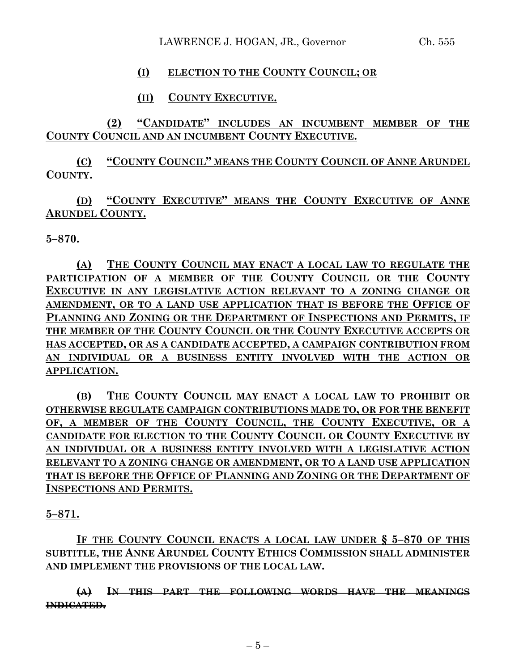# **(I) ELECTION TO THE COUNTY COUNCIL; OR**

# **(II) COUNTY EXECUTIVE.**

**(2) "CANDIDATE" INCLUDES AN INCUMBENT MEMBER OF THE COUNTY COUNCIL AND AN INCUMBENT COUNTY EXECUTIVE.**

**(C) "COUNTY COUNCIL" MEANS THE COUNTY COUNCIL OF ANNE ARUNDEL COUNTY.**

**(D) "COUNTY EXECUTIVE" MEANS THE COUNTY EXECUTIVE OF ANNE ARUNDEL COUNTY.**

**5–870.**

**(A) THE COUNTY COUNCIL MAY ENACT A LOCAL LAW TO REGULATE THE PARTICIPATION OF A MEMBER OF THE COUNTY COUNCIL OR THE COUNTY EXECUTIVE IN ANY LEGISLATIVE ACTION RELEVANT TO A ZONING CHANGE OR AMENDMENT, OR TO A LAND USE APPLICATION THAT IS BEFORE THE OFFICE OF PLANNING AND ZONING OR THE DEPARTMENT OF INSPECTIONS AND PERMITS, IF THE MEMBER OF THE COUNTY COUNCIL OR THE COUNTY EXECUTIVE ACCEPTS OR HAS ACCEPTED, OR AS A CANDIDATE ACCEPTED, A CAMPAIGN CONTRIBUTION FROM AN INDIVIDUAL OR A BUSINESS ENTITY INVOLVED WITH THE ACTION OR APPLICATION.**

**(B) THE COUNTY COUNCIL MAY ENACT A LOCAL LAW TO PROHIBIT OR OTHERWISE REGULATE CAMPAIGN CONTRIBUTIONS MADE TO, OR FOR THE BENEFIT OF, A MEMBER OF THE COUNTY COUNCIL, THE COUNTY EXECUTIVE, OR A CANDIDATE FOR ELECTION TO THE COUNTY COUNCIL OR COUNTY EXECUTIVE BY AN INDIVIDUAL OR A BUSINESS ENTITY INVOLVED WITH A LEGISLATIVE ACTION RELEVANT TO A ZONING CHANGE OR AMENDMENT, OR TO A LAND USE APPLICATION THAT IS BEFORE THE OFFICE OF PLANNING AND ZONING OR THE DEPARTMENT OF INSPECTIONS AND PERMITS.**

**5–871.**

**IF THE COUNTY COUNCIL ENACTS A LOCAL LAW UNDER § 5–870 OF THIS SUBTITLE, THE ANNE ARUNDEL COUNTY ETHICS COMMISSION SHALL ADMINISTER AND IMPLEMENT THE PROVISIONS OF THE LOCAL LAW.**

**(A) IN THIS PART THE FOLLOWING WORDS HAVE THE MEANINGS INDICATED.**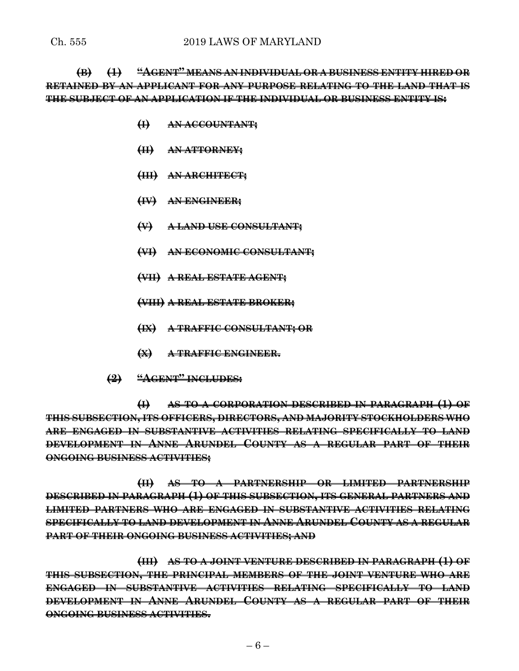**(B) (1) "AGENT" MEANS AN INDIVIDUAL OR A BUSINESS ENTITY HIRED OR RETAINED BY AN APPLICANT FOR ANY PURPOSE RELATING TO THE LAND THAT IS THE SUBJECT OF AN APPLICATION IF THE INDIVIDUAL OR BUSINESS ENTITY IS:**

- **(I) AN ACCOUNTANT;**
- **(II) AN ATTORNEY;**
- **(III) AN ARCHITECT;**
- **(IV) AN ENGINEER;**
- **(V) A LAND USE CONSULTANT;**
- **(VI) AN ECONOMIC CONSULTANT;**
- **(VII) A REAL ESTATE AGENT;**
- **(VIII) A REAL ESTATE BROKER;**
- **(IX) A TRAFFIC CONSULTANT; OR**
- **(X) A TRAFFIC ENGINEER.**
- **(2) "AGENT" INCLUDES:**

**(I) AS TO A CORPORATION DESCRIBED IN PARAGRAPH (1) OF THIS SUBSECTION, ITS OFFICERS, DIRECTORS, AND MAJORITY STOCKHOLDERS WHO ARE ENGAGED IN SUBSTANTIVE ACTIVITIES RELATING SPECIFICALLY TO LAND DEVELOPMENT IN ANNE ARUNDEL COUNTY AS A REGULAR PART OF THEIR ONGOING BUSINESS ACTIVITIES;**

**(II) AS TO A PARTNERSHIP OR LIMITED PARTNERSHIP DESCRIBED IN PARAGRAPH (1) OF THIS SUBSECTION, ITS GENERAL PARTNERS AND LIMITED PARTNERS WHO ARE ENGAGED IN SUBSTANTIVE ACTIVITIES RELATING SPECIFICALLY TO LAND DEVELOPMENT IN ANNE ARUNDEL COUNTY AS A REGULAR PART OF THEIR ONGOING BUSINESS ACTIVITIES; AND**

**(III) AS TO A JOINT VENTURE DESCRIBED IN PARAGRAPH (1) OF THIS SUBSECTION, THE PRINCIPAL MEMBERS OF THE JOINT VENTURE WHO ARE ENGAGED IN SUBSTANTIVE ACTIVITIES RELATING SPECIFICALLY TO LAND DEVELOPMENT IN ANNE ARUNDEL COUNTY AS A REGULAR PART OF THEIR ONGOING BUSINESS ACTIVITIES.**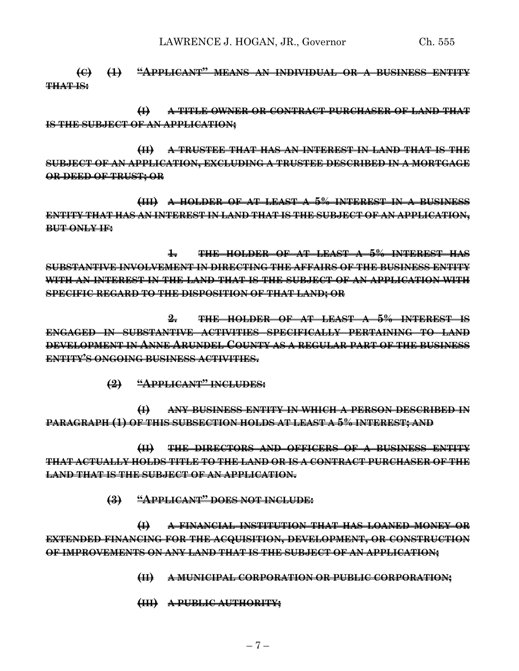LAWRENCE J. HOGAN, JR., Governor Ch. 555

**(C) (1) "APPLICANT" MEANS AN INDIVIDUAL OR A BUSINESS ENTITY THAT IS:**

**(I) A TITLE OWNER OR CONTRACT PURCHASER OF LAND THAT IS THE SUBJECT OF AN APPLICATION;**

**(II) A TRUSTEE THAT HAS AN INTEREST IN LAND THAT IS THE SUBJECT OF AN APPLICATION, EXCLUDING A TRUSTEE DESCRIBED IN A MORTGAGE OR DEED OF TRUST; OR**

**(III) A HOLDER OF AT LEAST A 5% INTEREST IN A BUSINESS ENTITY THAT HAS AN INTEREST IN LAND THAT IS THE SUBJECT OF AN APPLICATION, BUT ONLY IF:**

**1. THE HOLDER OF AT LEAST A 5% INTEREST HAS SUBSTANTIVE INVOLVEMENT IN DIRECTING THE AFFAIRS OF THE BUSINESS ENTITY WITH AN INTEREST IN THE LAND THAT IS THE SUBJECT OF AN APPLICATION WITH SPECIFIC REGARD TO THE DISPOSITION OF THAT LAND; OR**

**2. THE HOLDER OF AT LEAST A 5% INTEREST IS ENGAGED IN SUBSTANTIVE ACTIVITIES SPECIFICALLY PERTAINING TO LAND DEVELOPMENT IN ANNE ARUNDEL COUNTY AS A REGULAR PART OF THE BUSINESS ENTITY'S ONGOING BUSINESS ACTIVITIES.**

**(2) "APPLICANT" INCLUDES:**

**(I) ANY BUSINESS ENTITY IN WHICH A PERSON DESCRIBED IN PARAGRAPH (1) OF THIS SUBSECTION HOLDS AT LEAST A 5% INTEREST; AND**

**(II) THE DIRECTORS AND OFFICERS OF A BUSINESS ENTITY THAT ACTUALLY HOLDS TITLE TO THE LAND OR IS A CONTRACT PURCHASER OF THE LAND THAT IS THE SUBJECT OF AN APPLICATION.**

**(3) "APPLICANT" DOES NOT INCLUDE:**

**(I) A FINANCIAL INSTITUTION THAT HAS LOANED MONEY OR EXTENDED FINANCING FOR THE ACQUISITION, DEVELOPMENT, OR CONSTRUCTION OF IMPROVEMENTS ON ANY LAND THAT IS THE SUBJECT OF AN APPLICATION;**

**(II) A MUNICIPAL CORPORATION OR PUBLIC CORPORATION;**

**(III) A PUBLIC AUTHORITY;**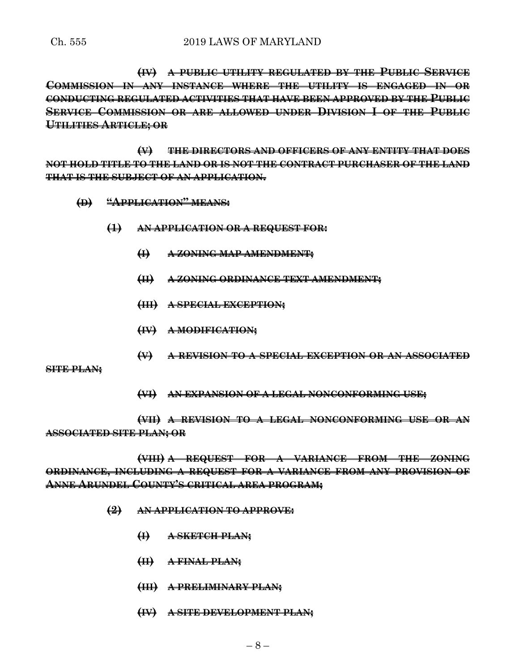**(IV) A PUBLIC UTILITY REGULATED BY THE PUBLIC SERVICE COMMISSION IN ANY INSTANCE WHERE THE UTILITY IS ENGAGED IN OR CONDUCTING REGULATED ACTIVITIES THAT HAVE BEEN APPROVED BY THE PUBLIC SERVICE COMMISSION OR ARE ALLOWED UNDER DIVISION I OF THE PUBLIC UTILITIES ARTICLE; OR**

**(V) THE DIRECTORS AND OFFICERS OF ANY ENTITY THAT DOES NOT HOLD TITLE TO THE LAND OR IS NOT THE CONTRACT PURCHASER OF THE LAND THAT IS THE SUBJECT OF AN APPLICATION.**

- **(D) "APPLICATION" MEANS:**
	- **(1) AN APPLICATION OR A REQUEST FOR:**
		- **(I) A ZONING MAP AMENDMENT;**
		- **(II) A ZONING ORDINANCE TEXT AMENDMENT;**
		- **(III) A SPECIAL EXCEPTION;**
		- **(IV) A MODIFICATION;**
		- **(V) A REVISION TO A SPECIAL EXCEPTION OR AN ASSOCIATED**

**SITE PLAN;**

**(VI) AN EXPANSION OF A LEGAL NONCONFORMING USE;**

**(VII) A REVISION TO A LEGAL NONCONFORMING USE OR AN ASSOCIATED SITE PLAN; OR**

**(VIII) A REQUEST FOR A VARIANCE FROM THE ZONING ORDINANCE, INCLUDING A REQUEST FOR A VARIANCE FROM ANY PROVISION OF ANNE ARUNDEL COUNTY'S CRITICAL AREA PROGRAM;**

- **(2) AN APPLICATION TO APPROVE:**
	- **(I) A SKETCH PLAN;**
	- **(II) A FINAL PLAN;**
	- **(III) A PRELIMINARY PLAN;**
	- **(IV) A SITE DEVELOPMENT PLAN;**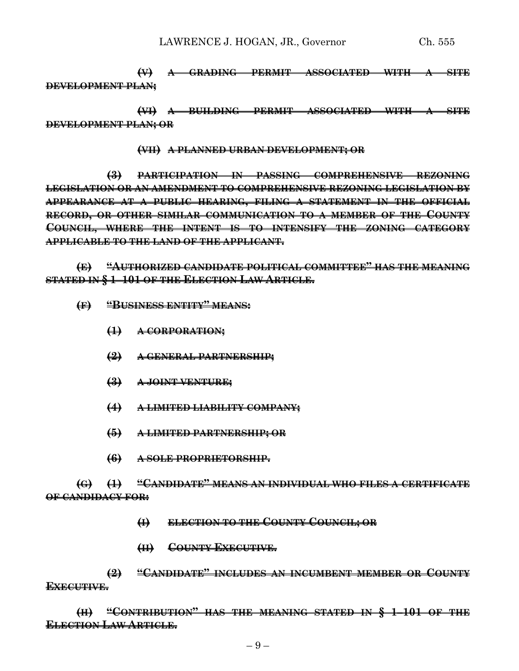**(V) A GRADING PERMIT ASSOCIATED WITH A SITE DEVELOPMENT PLAN;**

**(VI) A BUILDING PERMIT ASSOCIATED WITH A SITE DEVELOPMENT PLAN; OR**

**(VII) A PLANNED URBAN DEVELOPMENT; OR**

**(3) PARTICIPATION IN PASSING COMPREHENSIVE REZONING LEGISLATION OR AN AMENDMENT TO COMPREHENSIVE REZONING LEGISLATION BY APPEARANCE AT A PUBLIC HEARING, FILING A STATEMENT IN THE OFFICIAL RECORD, OR OTHER SIMILAR COMMUNICATION TO A MEMBER OF THE COUNTY COUNCIL, WHERE THE INTENT IS TO INTENSIFY THE ZONING CATEGORY APPLICABLE TO THE LAND OF THE APPLICANT.**

**(E) "AUTHORIZED CANDIDATE POLITICAL COMMITTEE" HAS THE MEANING STATED IN § 1–101 OF THE ELECTION LAW ARTICLE.**

- **(F) "BUSINESS ENTITY" MEANS:**
	- **(1) A CORPORATION;**
	- **(2) A GENERAL PARTNERSHIP;**
	- **(3) A JOINT VENTURE;**
	- **(4) A LIMITED LIABILITY COMPANY;**
	- **(5) A LIMITED PARTNERSHIP; OR**
	- **(6) A SOLE PROPRIETORSHIP.**

**(G) (1) "CANDIDATE" MEANS AN INDIVIDUAL WHO FILES A CERTIFICATE OF CANDIDACY FOR:**

- **(I) ELECTION TO THE COUNTY COUNCIL; OR**
- **(II) COUNTY EXECUTIVE.**

**(2) "CANDIDATE" INCLUDES AN INCUMBENT MEMBER OR COUNTY EXECUTIVE.**

**(H) "CONTRIBUTION" HAS THE MEANING STATED IN § 1–101 OF THE ELECTION LAW ARTICLE.**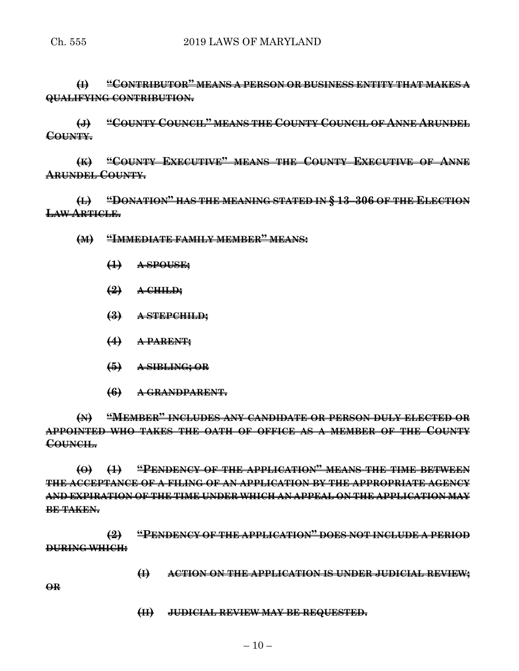**(I) "CONTRIBUTOR" MEANS A PERSON OR BUSINESS ENTITY THAT MAKES A QUALIFYING CONTRIBUTION.**

**(J) "COUNTY COUNCIL" MEANS THE COUNTY COUNCIL OF ANNE ARUNDEL COUNTY.**

**(K) "COUNTY EXECUTIVE" MEANS THE COUNTY EXECUTIVE OF ANNE ARUNDEL COUNTY.**

**(L) "DONATION" HAS THE MEANING STATED IN § 13–306 OF THE ELECTION LAW ARTICLE.**

**(M) "IMMEDIATE FAMILY MEMBER" MEANS:**

- **(1) A SPOUSE;**
- **(2) A CHILD;**
- **(3) A STEPCHILD;**
- **(4) A PARENT;**
- **(5) A SIBLING; OR**
- **(6) A GRANDPARENT.**

**(N) "MEMBER" INCLUDES ANY CANDIDATE OR PERSON DULY ELECTED OR APPOINTED WHO TAKES THE OATH OF OFFICE AS A MEMBER OF THE COUNTY COUNCIL.**

**(O) (1) "PENDENCY OF THE APPLICATION" MEANS THE TIME BETWEEN THE ACCEPTANCE OF A FILING OF AN APPLICATION BY THE APPROPRIATE AGENCY AND EXPIRATION OF THE TIME UNDER WHICH AN APPEAL ON THE APPLICATION MAY BE TAKEN.**

**(2) "PENDENCY OF THE APPLICATION" DOES NOT INCLUDE A PERIOD DURING WHICH:**

**(I) ACTION ON THE APPLICATION IS UNDER JUDICIAL REVIEW;**

**OR**

**(II) JUDICIAL REVIEW MAY BE REQUESTED.**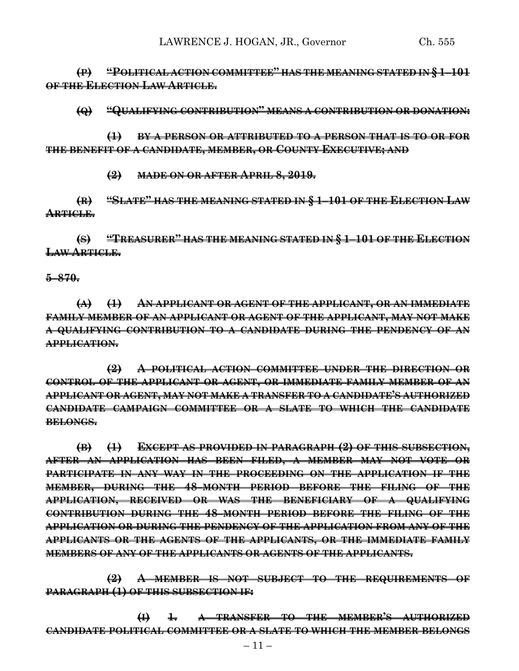**(P) "POLITICAL ACTION COMMITTEE" HAS THE MEANING STATED IN § 1–101 OF THE ELECTION LAW ARTICLE.**

**(Q) "QUALIFYING CONTRIBUTION" MEANS A CONTRIBUTION OR DONATION:**

**(1) BY A PERSON OR ATTRIBUTED TO A PERSON THAT IS TO OR FOR THE BENEFIT OF A CANDIDATE, MEMBER, OR COUNTY EXECUTIVE; AND**

**(2) MADE ON OR AFTER APRIL 8, 2019.**

**(R) "SLATE" HAS THE MEANING STATED IN § 1–101 OF THE ELECTION LAW ARTICLE.**

**(S) "TREASURER" HAS THE MEANING STATED IN § 1–101 OF THE ELECTION LAW ARTICLE.**

**5–870.**

**(A) (1) AN APPLICANT OR AGENT OF THE APPLICANT, OR AN IMMEDIATE FAMILY MEMBER OF AN APPLICANT OR AGENT OF THE APPLICANT, MAY NOT MAKE A QUALIFYING CONTRIBUTION TO A CANDIDATE DURING THE PENDENCY OF AN APPLICATION.**

**(2) A POLITICAL ACTION COMMITTEE UNDER THE DIRECTION OR CONTROL OF THE APPLICANT OR AGENT, OR IMMEDIATE FAMILY MEMBER OF AN APPLICANT OR AGENT, MAY NOT MAKE A TRANSFER TO A CANDIDATE'S AUTHORIZED CANDIDATE CAMPAIGN COMMITTEE OR A SLATE TO WHICH THE CANDIDATE BELONGS.**

**(B) (1) EXCEPT AS PROVIDED IN PARAGRAPH (2) OF THIS SUBSECTION, AFTER AN APPLICATION HAS BEEN FILED, A MEMBER MAY NOT VOTE OR PARTICIPATE IN ANY WAY IN THE PROCEEDING ON THE APPLICATION IF THE MEMBER, DURING THE 48–MONTH PERIOD BEFORE THE FILING OF THE APPLICATION, RECEIVED OR WAS THE BENEFICIARY OF A QUALIFYING CONTRIBUTION DURING THE 48–MONTH PERIOD BEFORE THE FILING OF THE APPLICATION OR DURING THE PENDENCY OF THE APPLICATION FROM ANY OF THE APPLICANTS OR THE AGENTS OF THE APPLICANTS, OR THE IMMEDIATE FAMILY MEMBERS OF ANY OF THE APPLICANTS OR AGENTS OF THE APPLICANTS.**

**(2) A MEMBER IS NOT SUBJECT TO THE REQUIREMENTS OF PARAGRAPH (1) OF THIS SUBSECTION IF:**

**(I) 1. A TRANSFER TO THE MEMBER'S AUTHORIZED CANDIDATE POLITICAL COMMITTEE OR A SLATE TO WHICH THE MEMBER BELONGS**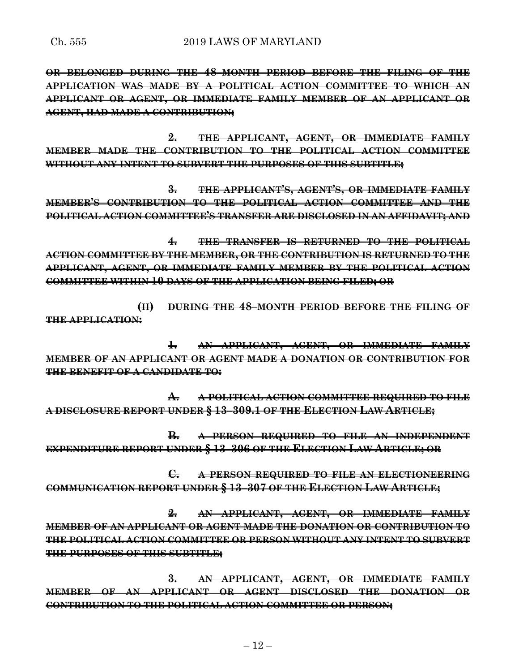**OR BELONGED DURING THE 48–MONTH PERIOD BEFORE THE FILING OF THE APPLICATION WAS MADE BY A POLITICAL ACTION COMMITTEE TO WHICH AN APPLICANT OR AGENT, OR IMMEDIATE FAMILY MEMBER OF AN APPLICANT OR AGENT, HAD MADE A CONTRIBUTION;**

**2. THE APPLICANT, AGENT, OR IMMEDIATE FAMILY MEMBER MADE THE CONTRIBUTION TO THE POLITICAL ACTION COMMITTEE WITHOUT ANY INTENT TO SUBVERT THE PURPOSES OF THIS SUBTITLE;**

**3. THE APPLICANT'S, AGENT'S, OR IMMEDIATE FAMILY MEMBER'S CONTRIBUTION TO THE POLITICAL ACTION COMMITTEE AND THE POLITICAL ACTION COMMITTEE'S TRANSFER ARE DISCLOSED IN AN AFFIDAVIT; AND**

**4. THE TRANSFER IS RETURNED TO THE POLITICAL ACTION COMMITTEE BY THE MEMBER, OR THE CONTRIBUTION IS RETURNED TO THE APPLICANT, AGENT, OR IMMEDIATE FAMILY MEMBER BY THE POLITICAL ACTION COMMITTEE WITHIN 10 DAYS OF THE APPLICATION BEING FILED; OR**

**(II) DURING THE 48–MONTH PERIOD BEFORE THE FILING OF THE APPLICATION:**

**1. AN APPLICANT, AGENT, OR IMMEDIATE FAMILY MEMBER OF AN APPLICANT OR AGENT MADE A DONATION OR CONTRIBUTION FOR THE BENEFIT OF A CANDIDATE TO:**

**A. A POLITICAL ACTION COMMITTEE REQUIRED TO FILE A DISCLOSURE REPORT UNDER § 13–309.1 OF THE ELECTION LAW ARTICLE;**

**B. A PERSON REQUIRED TO FILE AN INDEPENDENT EXPENDITURE REPORT UNDER § 13–306 OF THE ELECTION LAW ARTICLE; OR**

**C. A PERSON REQUIRED TO FILE AN ELECTIONEERING COMMUNICATION REPORT UNDER § 13–307 OF THE ELECTION LAW ARTICLE;**

**2. AN APPLICANT, AGENT, OR IMMEDIATE FAMILY MEMBER OF AN APPLICANT OR AGENT MADE THE DONATION OR CONTRIBUTION TO THE POLITICAL ACTION COMMITTEE OR PERSON WITHOUT ANY INTENT TO SUBVERT THE PURPOSES OF THIS SUBTITLE;**

**3. AN APPLICANT, AGENT, OR IMMEDIATE FAMILY MEMBER OF AN APPLICANT OR AGENT DISCLOSED THE DONATION OR CONTRIBUTION TO THE POLITICAL ACTION COMMITTEE OR PERSON;**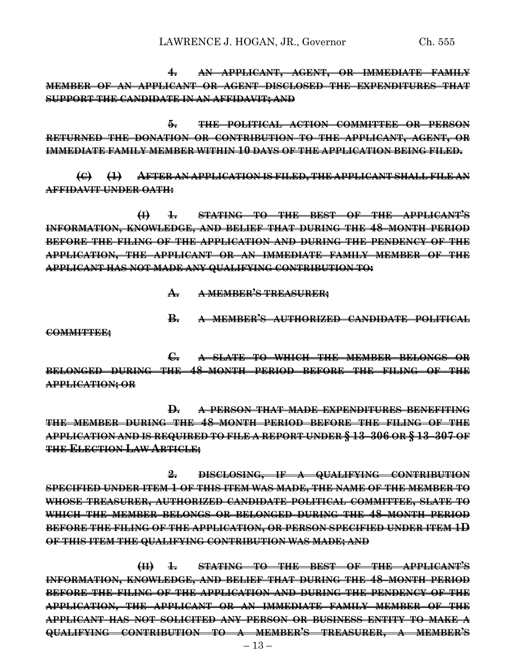**4. AN APPLICANT, AGENT, OR IMMEDIATE FAMILY MEMBER OF AN APPLICANT OR AGENT DISCLOSED THE EXPENDITURES THAT SUPPORT THE CANDIDATE IN AN AFFIDAVIT; AND**

**5. THE POLITICAL ACTION COMMITTEE OR PERSON RETURNED THE DONATION OR CONTRIBUTION TO THE APPLICANT, AGENT, OR IMMEDIATE FAMILY MEMBER WITHIN 10 DAYS OF THE APPLICATION BEING FILED.**

**(C) (1) AFTER AN APPLICATION IS FILED, THE APPLICANT SHALL FILE AN AFFIDAVIT UNDER OATH:**

**(I) 1. STATING TO THE BEST OF THE APPLICANT'S INFORMATION, KNOWLEDGE, AND BELIEF THAT DURING THE 48–MONTH PERIOD BEFORE THE FILING OF THE APPLICATION AND DURING THE PENDENCY OF THE APPLICATION, THE APPLICANT OR AN IMMEDIATE FAMILY MEMBER OF THE APPLICANT HAS NOT MADE ANY QUALIFYING CONTRIBUTION TO:**

**A. A MEMBER'S TREASURER;**

**B. A MEMBER'S AUTHORIZED CANDIDATE POLITICAL**

**COMMITTEE;**

**C. A SLATE TO WHICH THE MEMBER BELONGS OR BELONGED DURING THE 48–MONTH PERIOD BEFORE THE FILING OF THE APPLICATION; OR** 

**D. A PERSON THAT MADE EXPENDITURES BENEFITING THE MEMBER DURING THE 48–MONTH PERIOD BEFORE THE FILING OF THE APPLICATION AND IS REQUIRED TO FILE A REPORT UNDER § 13–306 OR § 13–307 OF THE ELECTION LAW ARTICLE;**

**2. DISCLOSING, IF A QUALIFYING CONTRIBUTION SPECIFIED UNDER ITEM 1 OF THIS ITEM WAS MADE, THE NAME OF THE MEMBER TO WHOSE TREASURER, AUTHORIZED CANDIDATE POLITICAL COMMITTEE, SLATE TO WHICH THE MEMBER BELONGS OR BELONGED DURING THE 48–MONTH PERIOD BEFORE THE FILING OF THE APPLICATION, OR PERSON SPECIFIED UNDER ITEM 1D OF THIS ITEM THE QUALIFYING CONTRIBUTION WAS MADE; AND**

**(II) 1. STATING TO THE BEST OF THE APPLICANT'S INFORMATION, KNOWLEDGE, AND BELIEF THAT DURING THE 48–MONTH PERIOD BEFORE THE FILING OF THE APPLICATION AND DURING THE PENDENCY OF THE APPLICATION, THE APPLICANT OR AN IMMEDIATE FAMILY MEMBER OF THE APPLICANT HAS NOT SOLICITED ANY PERSON OR BUSINESS ENTITY TO MAKE A QUALIFYING CONTRIBUTION TO A MEMBER'S TREASURER, A MEMBER'S**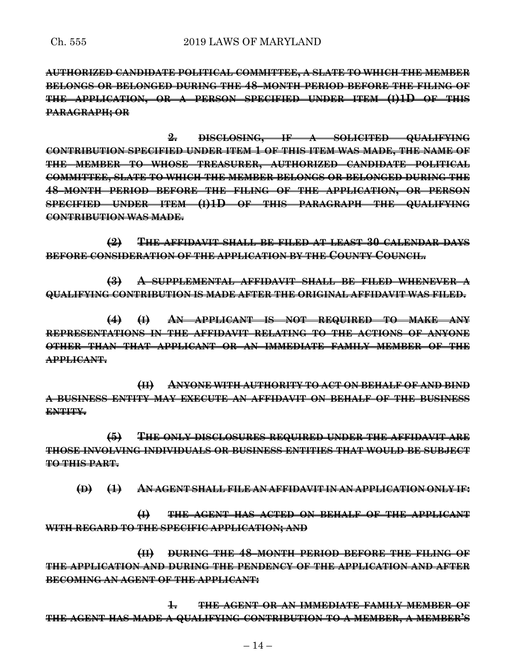**AUTHORIZED CANDIDATE POLITICAL COMMITTEE, A SLATE TO WHICH THE MEMBER BELONGS OR BELONGED DURING THE 48–MONTH PERIOD BEFORE THE FILING OF THE APPLICATION, OR A PERSON SPECIFIED UNDER ITEM (I)1D OF THIS PARAGRAPH; OR**

**2. DISCLOSING, IF A SOLICITED QUALIFYING CONTRIBUTION SPECIFIED UNDER ITEM 1 OF THIS ITEM WAS MADE, THE NAME OF THE MEMBER TO WHOSE TREASURER, AUTHORIZED CANDIDATE POLITICAL COMMITTEE, SLATE TO WHICH THE MEMBER BELONGS OR BELONGED DURING THE 48–MONTH PERIOD BEFORE THE FILING OF THE APPLICATION, OR PERSON SPECIFIED UNDER ITEM (I)1D OF THIS PARAGRAPH THE QUALIFYING CONTRIBUTION WAS MADE.**

**(2) THE AFFIDAVIT SHALL BE FILED AT LEAST 30 CALENDAR DAYS BEFORE CONSIDERATION OF THE APPLICATION BY THE COUNTY COUNCIL.**

**(3) A SUPPLEMENTAL AFFIDAVIT SHALL BE FILED WHENEVER A QUALIFYING CONTRIBUTION IS MADE AFTER THE ORIGINAL AFFIDAVIT WAS FILED.**

**(4) (I) AN APPLICANT IS NOT REQUIRED TO MAKE ANY REPRESENTATIONS IN THE AFFIDAVIT RELATING TO THE ACTIONS OF ANYONE OTHER THAN THAT APPLICANT OR AN IMMEDIATE FAMILY MEMBER OF THE APPLICANT.**

**(II) ANYONE WITH AUTHORITY TO ACT ON BEHALF OF AND BIND A BUSINESS ENTITY MAY EXECUTE AN AFFIDAVIT ON BEHALF OF THE BUSINESS ENTITY.**

**(5) THE ONLY DISCLOSURES REQUIRED UNDER THE AFFIDAVIT ARE THOSE INVOLVING INDIVIDUALS OR BUSINESS ENTITIES THAT WOULD BE SUBJECT TO THIS PART.**

**(D) (1) AN AGENT SHALL FILE AN AFFIDAVIT IN AN APPLICATION ONLY IF:**

**(I) THE AGENT HAS ACTED ON BEHALF OF THE APPLICANT WITH REGARD TO THE SPECIFIC APPLICATION; AND**

**(II) DURING THE 48–MONTH PERIOD BEFORE THE FILING OF THE APPLICATION AND DURING THE PENDENCY OF THE APPLICATION AND AFTER BECOMING AN AGENT OF THE APPLICANT:**

**1. THE AGENT OR AN IMMEDIATE FAMILY MEMBER OF THE AGENT HAS MADE A QUALIFYING CONTRIBUTION TO A MEMBER, A MEMBER'S**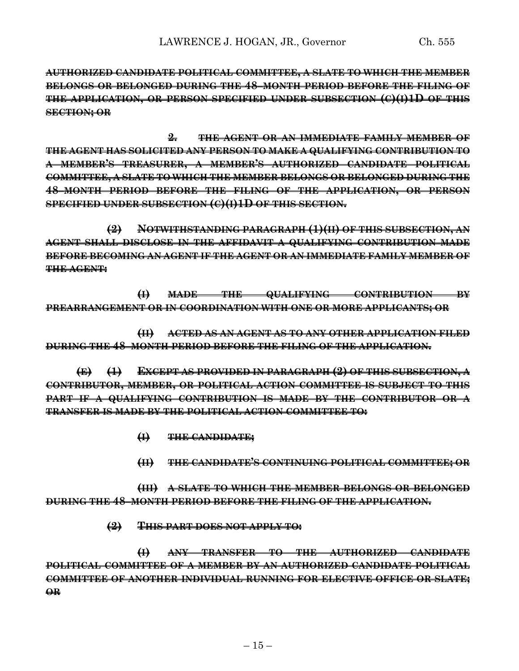**AUTHORIZED CANDIDATE POLITICAL COMMITTEE, A SLATE TO WHICH THE MEMBER BELONGS OR BELONGED DURING THE 48–MONTH PERIOD BEFORE THE FILING OF THE APPLICATION, OR PERSON SPECIFIED UNDER SUBSECTION (C)(I)1D OF THIS SECTION; OR**

**2. THE AGENT OR AN IMMEDIATE FAMILY MEMBER OF THE AGENT HAS SOLICITED ANY PERSON TO MAKE A QUALIFYING CONTRIBUTION TO A MEMBER'S TREASURER, A MEMBER'S AUTHORIZED CANDIDATE POLITICAL COMMITTEE, A SLATE TO WHICH THE MEMBER BELONGS OR BELONGED DURING THE 48–MONTH PERIOD BEFORE THE FILING OF THE APPLICATION, OR PERSON SPECIFIED UNDER SUBSECTION (C)(I)1D OF THIS SECTION.**

**(2) NOTWITHSTANDING PARAGRAPH (1)(II) OF THIS SUBSECTION, AN AGENT SHALL DISCLOSE IN THE AFFIDAVIT A QUALIFYING CONTRIBUTION MADE BEFORE BECOMING AN AGENT IF THE AGENT OR AN IMMEDIATE FAMILY MEMBER OF THE AGENT:**

**(I) MADE THE QUALIFYING CONTRIBUTION BY PREARRANGEMENT OR IN COORDINATION WITH ONE OR MORE APPLICANTS; OR**

**(II) ACTED AS AN AGENT AS TO ANY OTHER APPLICATION FILED DURING THE 48–MONTH PERIOD BEFORE THE FILING OF THE APPLICATION.**

**(E) (1) EXCEPT AS PROVIDED IN PARAGRAPH (2) OF THIS SUBSECTION, A CONTRIBUTOR, MEMBER, OR POLITICAL ACTION COMMITTEE IS SUBJECT TO THIS PART IF A QUALIFYING CONTRIBUTION IS MADE BY THE CONTRIBUTOR OR A TRANSFER IS MADE BY THE POLITICAL ACTION COMMITTEE TO:**

- **(I) THE CANDIDATE;**
- **(II) THE CANDIDATE'S CONTINUING POLITICAL COMMITTEE; OR**

**(III) A SLATE TO WHICH THE MEMBER BELONGS OR BELONGED DURING THE 48–MONTH PERIOD BEFORE THE FILING OF THE APPLICATION.**

**(2) THIS PART DOES NOT APPLY TO:**

**(I) ANY TRANSFER TO THE AUTHORIZED CANDIDATE POLITICAL COMMITTEE OF A MEMBER BY AN AUTHORIZED CANDIDATE POLITICAL COMMITTEE OF ANOTHER INDIVIDUAL RUNNING FOR ELECTIVE OFFICE OR SLATE; OR**